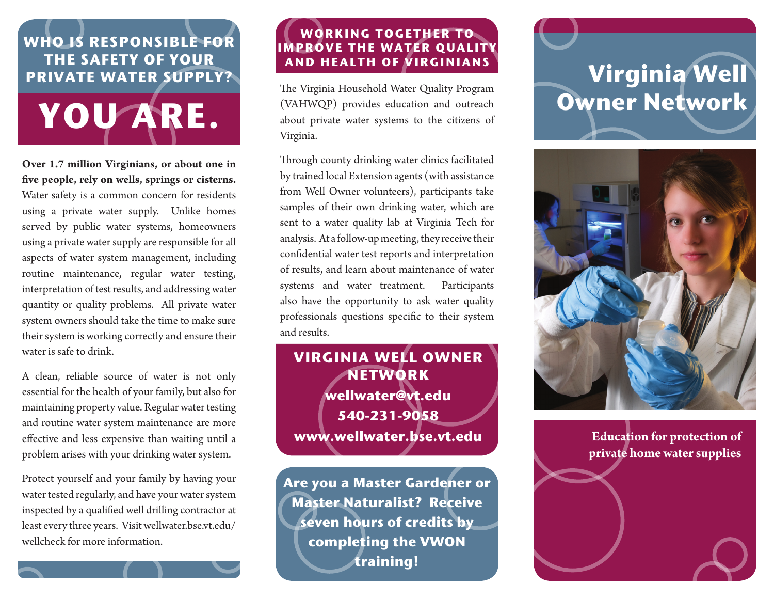### **Who is responsible for the safety of your private water supply?**



**Over 1.7 million Virginians, or about one in five people, rely on wells, springs or cisterns.** Water safety is a common concern for residents using a private water supply. Unlike homes served by public water systems, homeowners using a private water supply are responsible for all aspects of water system management, including routine maintenance, regular water testing, interpretation of test results, and addressing water quantity or quality problems. All private water system owners should take the time to make sure their system is working correctly and ensure their water is safe to drink.

A clean, reliable source of water is not only essential for the health of your family, but also for maintaining property value. Regular water testing and routine water system maintenance are more effective and less expensive than waiting until a problem arises with your drinking water system.

Protect yourself and your family by having your water tested regularly, and have your water system inspected by a qualified well drilling contractor at least every three years. Visit wellwater.bse.vt.edu/ wellcheck for more information.

### **Working together to improve the water quality and health of virginians**

The Virginia Household Water Quality Program (VAHWQP) provides education and outreach about private water systems to the citizens of Virginia.

Through county drinking water clinics facilitated by trained local Extension agents (with assistance from Well Owner volunteers), participants take samples of their own drinking water, which are sent to a water quality lab at Virginia Tech for analysis. At a follow-up meeting, they receive their confidential water test reports and interpretation of results, and learn about maintenance of water systems and water treatment. Participants also have the opportunity to ask water quality professionals questions specific to their system and results.

## **Virginia Well Owner Network wellwater@vt.edu 540-231-9058 www.wellwater.bse.vt.edu**

**Are you a Master Gardener or Master Naturalist? Receive seven hours of credits by completing the VWON training!** 

# **Virginia Well Owner Network**



### **Education for protection of private home water supplies**